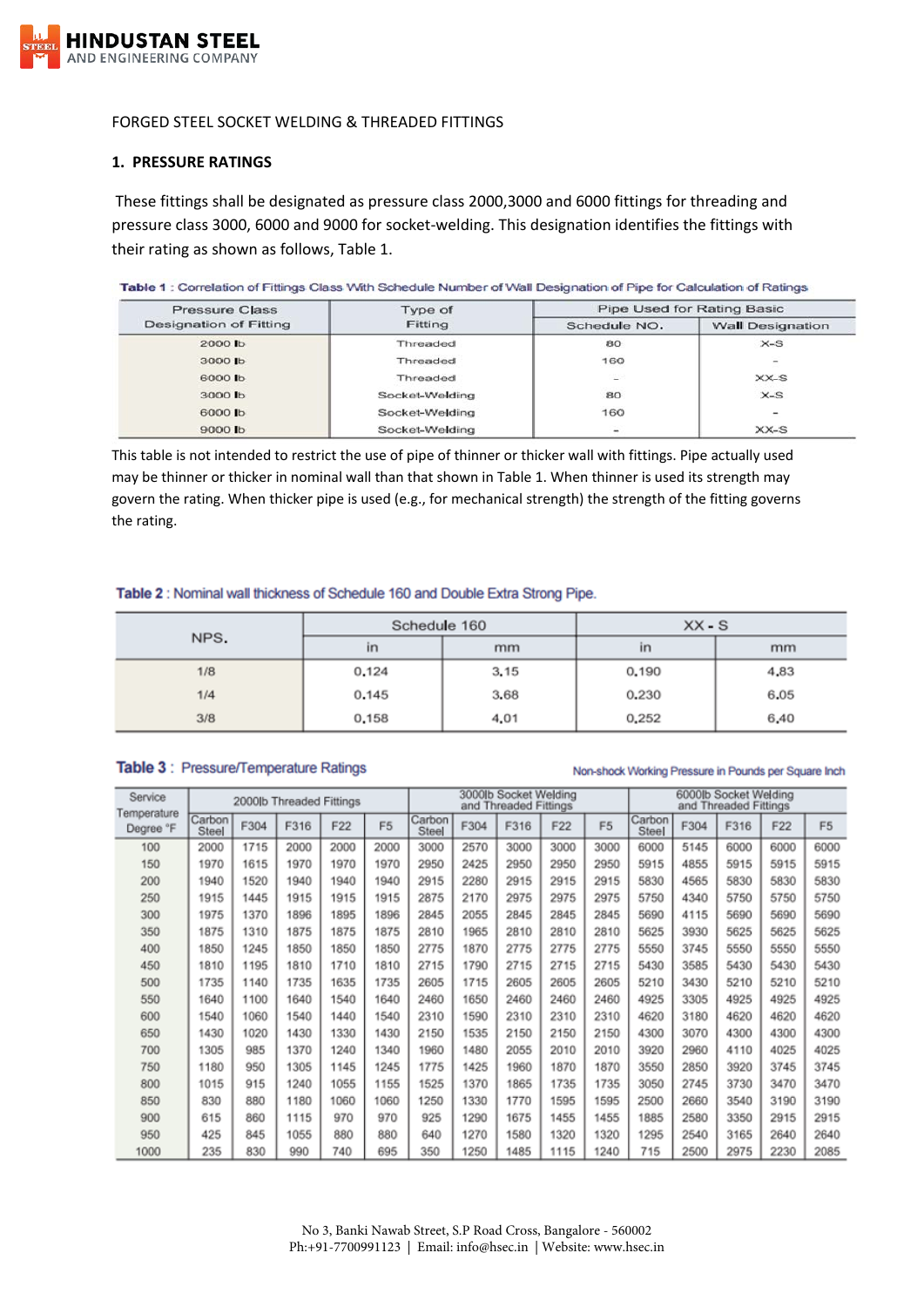

### FORGED STEEL SOCKET WELDING & THREADED FITTINGS

### **1. PRESSURE RATINGS**

These fittings shall be designated as pressure class 2000,3000 and 6000 fittings for threading and pressure class 3000, 6000 and 9000 for socket-welding. This designation identifies the fittings with their rating as shown as follows, Table 1.

#### Table 1 : Correlation of Fittings Class With Schedule Number of Wall Designation of Pipe for Calculation of Ratings

| <b>Pressure Class</b>  | Type of        | Pipe Used for Rating Basic |                          |  |  |  |  |
|------------------------|----------------|----------------------------|--------------------------|--|--|--|--|
| Designation of Fitting | Fitting        | Schedule NO.               | <b>Wall Designation</b>  |  |  |  |  |
| 2000 lb                | Threaded       | 80                         | $X-S$                    |  |  |  |  |
| 3000 lb                | Threaded       | 160                        | $\overline{\phantom{a}}$ |  |  |  |  |
| 6000 lb                | Threaded       | ng a                       | $XX-S$                   |  |  |  |  |
| 3000 lb                | Socket-Welding | 80                         | $X-S$                    |  |  |  |  |
| 6000 lb                | Socket-Welding | 160                        |                          |  |  |  |  |
| 9000 lb                | Socket-Welding | $\overline{\phantom{a}}$   | $XX-S$                   |  |  |  |  |

This table is not intended to restrict the use of pipe of thinner or thicker wall with fittings. Pipe actually used may be thinner or thicker in nominal wall than that shown in Table 1. When thinner is used its strength may govern the rating. When thicker pipe is used (e.g., for mechanical strength) the strength of the fitting governs the rating.

#### Table 2: Nominal wall thickness of Schedule 160 and Double Extra Strong Pipe.

|      | Schedule 160 |      | $XX-S$       |      |  |  |
|------|--------------|------|--------------|------|--|--|
| NPS. | in           | mm   | $\mathsf{I}$ | mm   |  |  |
| 1/8  | 0.124        | 3.15 | 0.190        | 4,83 |  |  |
| 1/4  | 0.145        | 3.68 | 0.230        | 6.05 |  |  |
| 3/8  | 0,158        | 4,01 | 0,252        | 6,40 |  |  |

### Table 3 : Pressure/Temperature Ratings

#### Non-shock Working Pressure in Pounds per Square Inch

| Service                  | 2000lb Threaded Fittings |      |      |      |                | 3000lb Socket Welding<br>and Threaded Fittings |      |      |      |                | 6000lb Socket Welding<br>and Threaded Fittings |      |      |      |                |
|--------------------------|--------------------------|------|------|------|----------------|------------------------------------------------|------|------|------|----------------|------------------------------------------------|------|------|------|----------------|
| Temperature<br>Degree °F | Carbon<br>Steel          | F304 | F316 | F22  | F <sub>5</sub> | Carbon<br>Steel                                | F304 | F316 | F22  | F <sub>5</sub> | Carbon<br>Steel                                | F304 | F316 | F22  | F <sub>5</sub> |
| 100                      | 2000                     | 1715 | 2000 | 2000 | 2000           | 3000                                           | 2570 | 3000 | 3000 | 3000           | 6000                                           | 5145 | 6000 | 6000 | 6000           |
| 150                      | 1970                     | 1615 | 1970 | 1970 | 1970           | 2950                                           | 2425 | 2950 | 2950 | 2950           | 5915                                           | 4855 | 5915 | 5915 | 5915           |
| 200                      | 1940                     | 1520 | 1940 | 1940 | 1940           | 2915                                           | 2280 | 2915 | 2915 | 2915           | 5830                                           | 4565 | 5830 | 5830 | 5830           |
| 250                      | 1915                     | 1445 | 1915 | 1915 | 1915           | 2875                                           | 2170 | 2975 | 2975 | 2975           | 5750                                           | 4340 | 5750 | 5750 | 5750           |
| 300                      | 1975                     | 1370 | 1896 | 1895 | 1896           | 2845                                           | 2055 | 2845 | 2845 | 2845           | 5690                                           | 4115 | 5690 | 5690 | 5690           |
| 350                      | 1875                     | 1310 | 1875 | 1875 | 1875           | 2810                                           | 1965 | 2810 | 2810 | 2810           | 5625                                           | 3930 | 5625 | 5625 | 5625           |
| 400                      | 1850                     | 1245 | 1850 | 1850 | 1850           | 2775                                           | 1870 | 2775 | 2775 | 2775           | 5550                                           | 3745 | 5550 | 5550 | 5550           |
| 450                      | 1810                     | 1195 | 1810 | 1710 | 1810           | 2715                                           | 1790 | 2715 | 2715 | 2715           | 5430                                           | 3585 | 5430 | 5430 | 5430           |
| 500                      | 1735                     | 1140 | 1735 | 1635 | 1735           | 2605                                           | 1715 | 2605 | 2605 | 2605           | 5210                                           | 3430 | 5210 | 5210 | 5210           |
| 550                      | 1640                     | 1100 | 1640 | 1540 | 1640           | 2460                                           | 1650 | 2460 | 2460 | 2460           | 4925                                           | 3305 | 4925 | 4925 | 4925           |
| 600                      | 1540                     | 1060 | 1540 | 1440 | 1540           | 2310                                           | 1590 | 2310 | 2310 | 2310           | 4620                                           | 3180 | 4620 | 4620 | 4620           |
| 650                      | 1430                     | 1020 | 1430 | 1330 | 1430           | 2150                                           | 1535 | 2150 | 2150 | 2150           | 4300                                           | 3070 | 4300 | 4300 | 4300           |
| 700                      | 1305                     | 985  | 1370 | 1240 | 1340           | 1960                                           | 1480 | 2055 | 2010 | 2010           | 3920                                           | 2960 | 4110 | 4025 | 4025           |
| 750                      | 1180                     | 950  | 1305 | 1145 | 1245           | 1775                                           | 1425 | 1960 | 1870 | 1870           | 3550                                           | 2850 | 3920 | 3745 | 3745           |
| 800                      | 1015                     | 915  | 1240 | 1055 | 1155           | 1525                                           | 1370 | 1865 | 1735 | 1735           | 3050                                           | 2745 | 3730 | 3470 | 3470           |
| 850                      | 830                      | 880  | 1180 | 1060 | 1060           | 1250                                           | 1330 | 1770 | 1595 | 1595           | 2500                                           | 2660 | 3540 | 3190 | 3190           |
| 900                      | 615                      | 860  | 1115 | 970  | 970            | 925                                            | 1290 | 1675 | 1455 | 1455           | 1885                                           | 2580 | 3350 | 2915 | 2915           |
| 950                      | 425                      | 845  | 1055 | 880  | 880            | 640                                            | 1270 | 1580 | 1320 | 1320           | 1295                                           | 2540 | 3165 | 2640 | 2640           |
| 1000                     | 235                      | 830  | 990  | 740  | 695            | 350                                            | 1250 | 1485 | 1115 | 1240           | 715                                            | 2500 | 2975 | 2230 | 2085           |